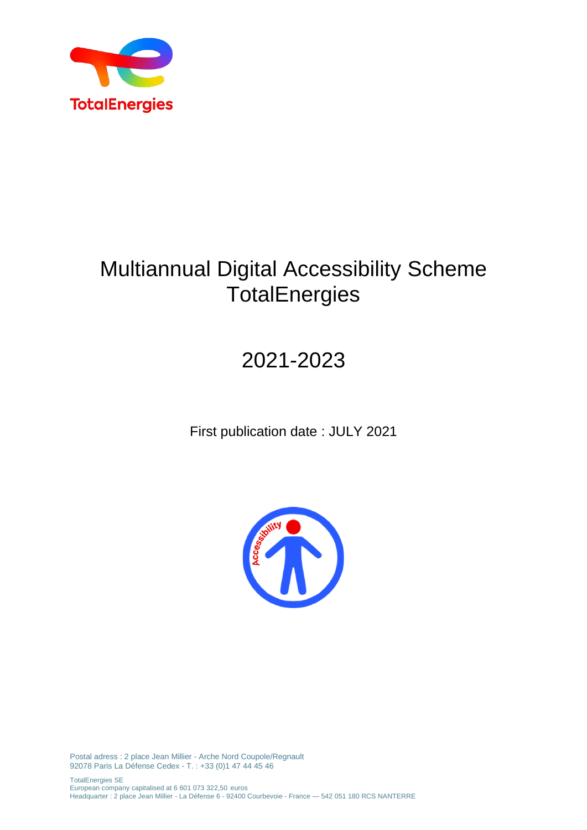

## Multiannual Digital Accessibility Scheme **TotalEnergies**

# 2021-2023

First publication date : JULY 2021



Postal adress : 2 place Jean Millier - Arche Nord Coupole/Regnault 92078 Paris La Défense Cedex - T. : +33 (0)1 47 44 45 46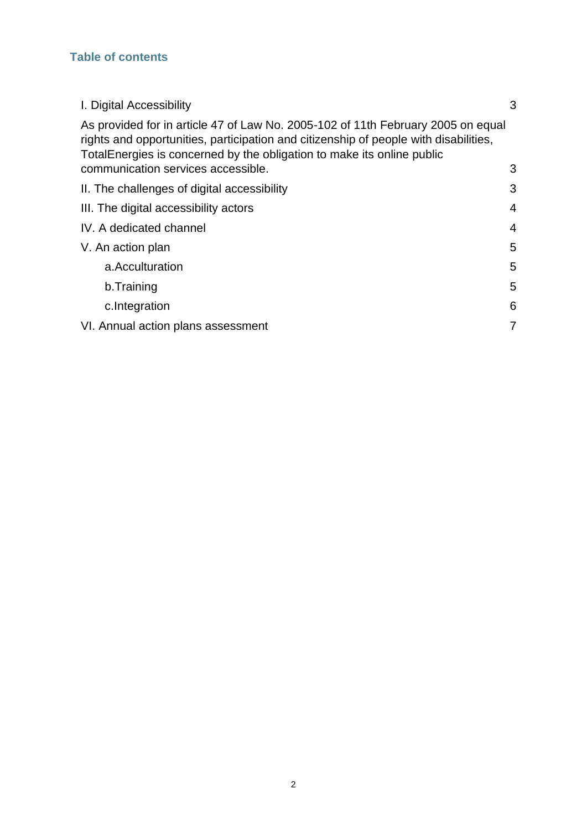### **Table of contents**

<span id="page-1-0"></span>

| I. Digital Accessibility                                                                                                                                                                                                                            | 3              |
|-----------------------------------------------------------------------------------------------------------------------------------------------------------------------------------------------------------------------------------------------------|----------------|
| As provided for in article 47 of Law No. 2005-102 of 11th February 2005 on equal<br>rights and opportunities, participation and citizenship of people with disabilities,<br>Total Energies is concerned by the obligation to make its online public |                |
| communication services accessible.                                                                                                                                                                                                                  | 3              |
| II. The challenges of digital accessibility                                                                                                                                                                                                         | 3              |
| III. The digital accessibility actors                                                                                                                                                                                                               | $\overline{4}$ |
| IV. A dedicated channel                                                                                                                                                                                                                             | $\overline{4}$ |
| V. An action plan                                                                                                                                                                                                                                   | 5              |
| a.Acculturation                                                                                                                                                                                                                                     | 5              |
| b.Training                                                                                                                                                                                                                                          | 5              |
| c.Integration                                                                                                                                                                                                                                       | 6              |
| VI. Annual action plans assessment                                                                                                                                                                                                                  | 7              |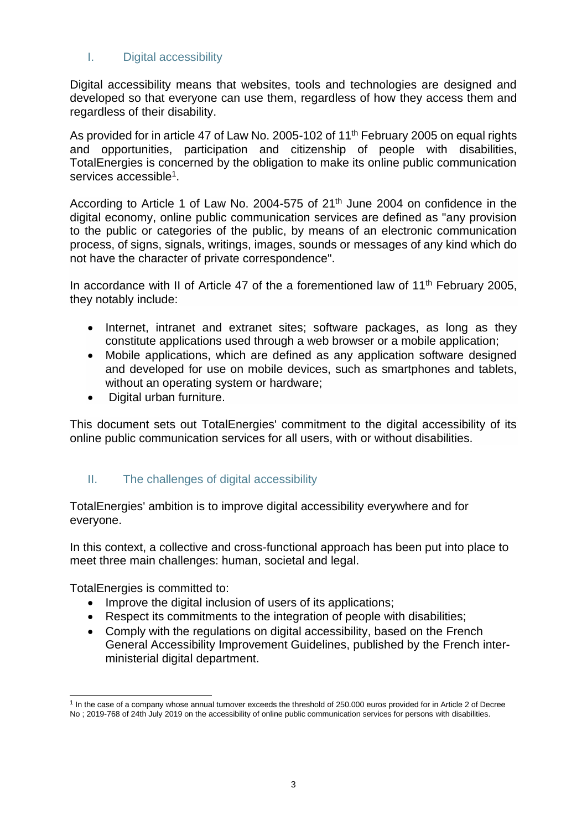#### I. Digital accessibility

<span id="page-2-0"></span>Digital accessibility means that websites, tools and technologies are designed and developed so that everyone can use them, regardless of how they access them and regardless of their disability.

As provided for in article 47 of Law No. 2005-102 of 11<sup>th</sup> February 2005 on equal rights and opportunities, participation and citizenship of people with disabilities, TotalEnergies is concerned by the obligation to make its online public communication services accessible<sup>1</sup>.

According to Article 1 of Law No. 2004-575 of 21<sup>th</sup> June 2004 on confidence in the digital economy, online public communication services are defined as "any provision to the public or categories of the public, by means of an electronic communication process, of signs, signals, writings, images, sounds or messages of any kind which do not have the character of private correspondence".

In accordance with II of Article 47 of the a forementioned law of 11<sup>th</sup> February 2005, they notably include:

- Internet, intranet and extranet sites; software packages, as long as they constitute applications used through a web browser or a mobile application;
- Mobile applications, which are defined as any application software designed and developed for use on mobile devices, such as smartphones and tablets, without an operating system or hardware;
- Digital urban furniture.

This document sets out TotalEnergies' commitment to the digital accessibility of its online public communication services for all users, with or without disabilities.

#### <span id="page-2-1"></span>II. The challenges of digital accessibility

TotalEnergies' ambition is to improve digital accessibility everywhere and for everyone.

In this context, a collective and cross-functional approach has been put into place to meet three main challenges: human, societal and legal.

TotalEnergies is committed to:

- Improve the digital inclusion of users of its applications;
- Respect its commitments to the integration of people with disabilities;
- Comply with the regulations on digital accessibility, based on the French General Accessibility Improvement Guidelines, published by the French interministerial digital department.

<sup>&</sup>lt;sup>1</sup> In the case of a company whose annual turnover exceeds the threshold of 250.000 euros provided for in Article 2 of Decree No ; 2019-768 of 24th July 2019 on the accessibility of online public communication services for persons with disabilities.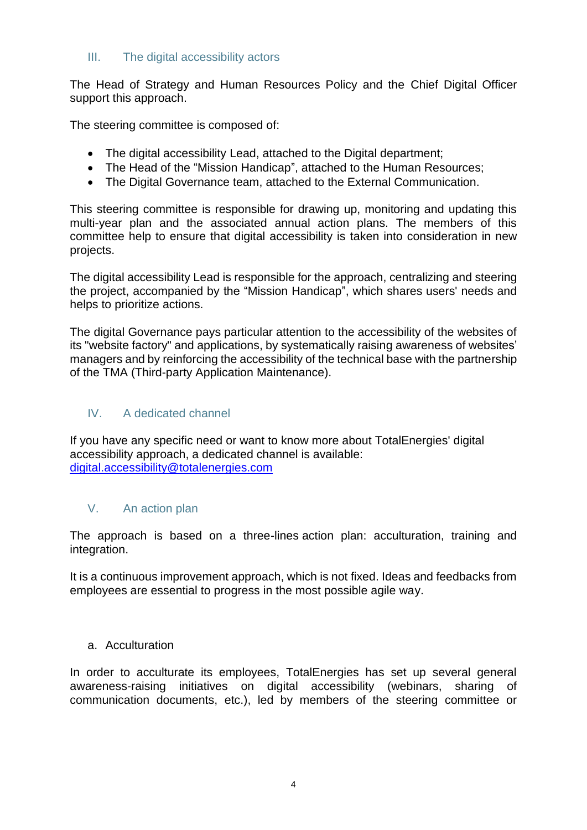#### <span id="page-3-0"></span>III. The digital accessibility actors

The Head of Strategy and Human Resources Policy and the Chief Digital Officer support this approach.

The steering committee is composed of:

- The digital accessibility Lead, attached to the Digital department;
- The Head of the "Mission Handicap", attached to the Human Resources;
- The Digital Governance team, attached to the External Communication.

This steering committee is responsible for drawing up, monitoring and updating this multi-year plan and the associated annual action plans. The members of this committee help to ensure that digital accessibility is taken into consideration in new projects.

The digital accessibility Lead is responsible for the approach, centralizing and steering the project, accompanied by the "Mission Handicap", which shares users' needs and helps to prioritize actions.

The digital Governance pays particular attention to the accessibility of the websites of its "website factory" and applications, by systematically raising awareness of websites' managers and by reinforcing the accessibility of the technical base with the partnership of the TMA (Third-party Application Maintenance).

#### <span id="page-3-1"></span>IV. A dedicated channel

If you have any specific need or want to know more about TotalEnergies' digital accessibility approach, a dedicated channel is available: [digital.accessibility@totalenergies.com](mailto:digital.accessibility@totalenergies.com)

#### <span id="page-3-2"></span>V. An action plan

The approach is based on a three-lines action plan: acculturation, training and integration.

It is a continuous improvement approach, which is not fixed. Ideas and feedbacks from employees are essential to progress in the most possible agile way.

#### <span id="page-3-3"></span>a. Acculturation

In order to acculturate its employees, TotalEnergies has set up several general awareness-raising initiatives on digital accessibility (webinars, sharing of communication documents, etc.), led by members of the steering committee or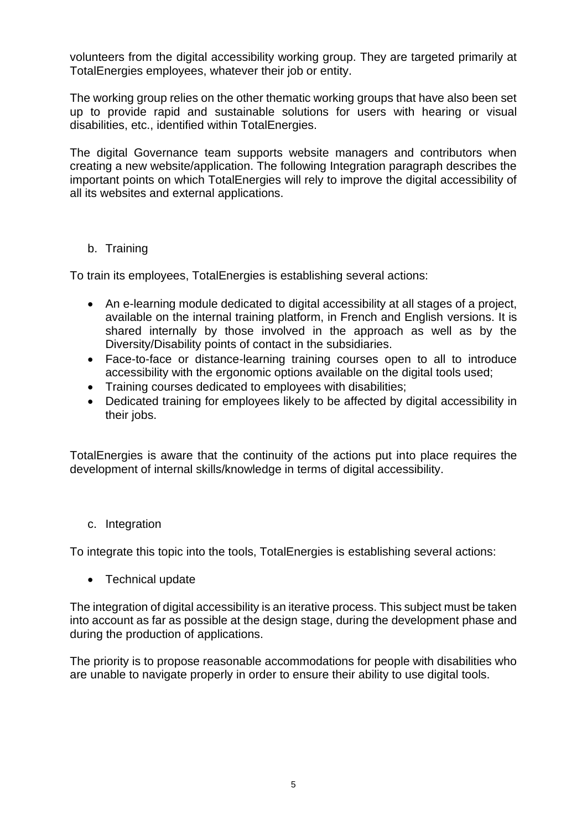volunteers from the digital accessibility working group. They are targeted primarily at TotalEnergies employees, whatever their job or entity.

The working group relies on the other thematic working groups that have also been set up to provide rapid and sustainable solutions for users with hearing or visual disabilities, etc., identified within TotalEnergies.

The digital Governance team supports website managers and contributors when creating a new website/application. The following Integration paragraph describes the important points on which TotalEnergies will rely to improve the digital accessibility of all its websites and external applications.

#### <span id="page-4-0"></span>b. Training

To train its employees, TotalEnergies is establishing several actions:

- An e-learning module dedicated to digital accessibility at all stages of a project, available on the internal training platform, in French and English versions. It is shared internally by those involved in the approach as well as by the Diversity/Disability points of contact in the subsidiaries.
- Face-to-face or distance-learning training courses open to all to introduce accessibility with the ergonomic options available on the digital tools used;
- Training courses dedicated to employees with disabilities;
- Dedicated training for employees likely to be affected by digital accessibility in their jobs.

TotalEnergies is aware that the continuity of the actions put into place requires the development of internal skills/knowledge in terms of digital accessibility.

#### c. Integration

To integrate this topic into the tools, TotalEnergies is establishing several actions:

• Technical update

The integration of digital accessibility is an iterative process. This subject must be taken into account as far as possible at the design stage, during the development phase and during the production of applications.

The priority is to propose reasonable accommodations for people with disabilities who are unable to navigate properly in order to ensure their ability to use digital tools.